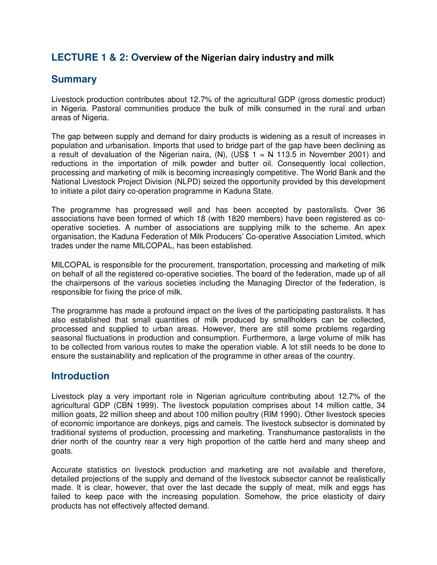# **LECTURE 1 & 2: O**verview of the Nigerian dairy industry and milk

## **Summary**

Livestock production contributes about 12.7% of the agricultural GDP (gross domestic product) in Nigeria. Pastoral communities produce the bulk of milk consumed in the rural and urban areas of Nigeria.

The gap between supply and demand for dairy products is widening as a result of increases in population and urbanisation. Imports that used to bridge part of the gap have been declining as a result of devaluation of the Nigerian naira,  $(N)$ , (US\$ 1 = N 113.5 in November 2001) and reductions in the importation of milk powder and butter oil. Consequently local collection, processing and marketing of milk is becoming increasingly competitive. The World Bank and the National Livestock Project Division (NLPD) seized the opportunity provided by this development to initiate a pilot dairy co-operation programme in Kaduna State.

The programme has progressed well and has been accepted by pastoralists. Over 36 associations have been formed of which 18 (with 1820 members) have been registered as cooperative societies. A number of associations are supplying milk to the scheme. An apex organisation, the Kaduna Federation of Milk Producers' Co-operative Association Limited, which trades under the name MILCOPAL, has been established.

MILCOPAL is responsible for the procurement, transportation, processing and marketing of milk on behalf of all the registered co-operative societies. The board of the federation, made up of all the chairpersons of the various societies including the Managing Director of the federation, is responsible for fixing the price of milk.

The programme has made a profound impact on the lives of the participating pastoralists. It has also established that small quantities of milk produced by smallholders can be collected, processed and supplied to urban areas. However, there are still some problems regarding seasonal fluctuations in production and consumption. Furthermore, a large volume of milk has to be collected from various routes to make the operation viable. A lot still needs to be done to ensure the sustainability and replication of the programme in other areas of the country.

## **Introduction**

Livestock play a very important role in Nigerian agriculture contributing about 12.7% of the agricultural GDP (CBN 1999). The livestock population comprises about 14 million cattle, 34 million goats, 22 million sheep and about 100 million poultry (RIM 1990). Other livestock species of economic importance are donkeys, pigs and camels. The livestock subsector is dominated by traditional systems of production, processing and marketing. Transhumance pastoralists in the drier north of the country rear a very high proportion of the cattle herd and many sheep and goats.

Accurate statistics on livestock production and marketing are not available and therefore, detailed projections of the supply and demand of the livestock subsector cannot be realistically made. It is clear, however, that over the last decade the supply of meat, milk and eggs has failed to keep pace with the increasing population. Somehow, the price elasticity of dairy products has not effectively affected demand.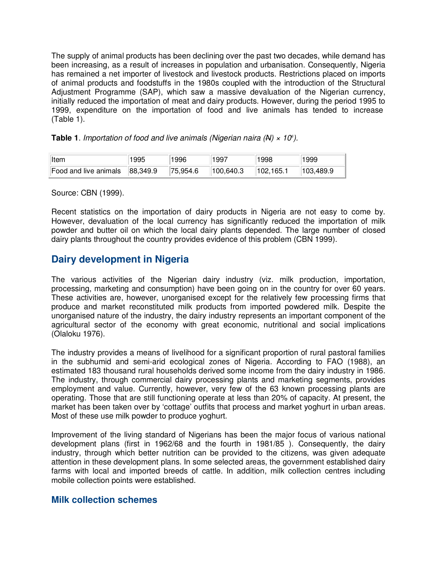The supply of animal products has been declining over the past two decades, while demand has been increasing, as a result of increases in population and urbanisation. Consequently, Nigeria has remained a net importer of livestock and livestock products. Restrictions placed on imports of animal products and foodstuffs in the 1980s coupled with the introduction of the Structural Adjustment Programme (SAP), which saw a massive devaluation of the Nigerian currency, initially reduced the importation of meat and dairy products. However, during the period 1995 to 1999, expenditure on the importation of food and live animals has tended to increase (Table 1).

|  |  |  | <b>Table 1.</b> Importation of food and live animals (Nigerian naira $(A) \times 10^{\circ}$ ). |  |
|--|--|--|-------------------------------------------------------------------------------------------------|--|
|--|--|--|-------------------------------------------------------------------------------------------------|--|

| Item                           | 995 | 1996     | 1997      | 1998                  | 1999                  |
|--------------------------------|-----|----------|-----------|-----------------------|-----------------------|
| Food and live animals 88,349.9 |     | 75,954.6 | 100,640.3 | $\parallel$ 102,165.1 | $\parallel$ 103,489.9 |

Source: CBN (1999).

Recent statistics on the importation of dairy products in Nigeria are not easy to come by. However, devaluation of the local currency has significantly reduced the importation of milk powder and butter oil on which the local dairy plants depended. The large number of closed dairy plants throughout the country provides evidence of this problem (CBN 1999).

## **Dairy development in Nigeria**

The various activities of the Nigerian dairy industry (viz. milk production, importation, processing, marketing and consumption) have been going on in the country for over 60 years. These activities are, however, unorganised except for the relatively few processing firms that produce and market reconstituted milk products from imported powdered milk. Despite the unorganised nature of the industry, the dairy industry represents an important component of the agricultural sector of the economy with great economic, nutritional and social implications (Olaloku 1976).

The industry provides a means of livelihood for a significant proportion of rural pastoral families in the subhumid and semi-arid ecological zones of Nigeria. According to FAO (1988), an estimated 183 thousand rural households derived some income from the dairy industry in 1986. The industry, through commercial dairy processing plants and marketing segments, provides employment and value. Currently, however, very few of the 63 known processing plants are operating. Those that are still functioning operate at less than 20% of capacity. At present, the market has been taken over by 'cottage' outfits that process and market yoghurt in urban areas. Most of these use milk powder to produce yoghurt.

Improvement of the living standard of Nigerians has been the major focus of various national development plans (first in 1962/68 and the fourth in 1981/85 ). Consequently, the dairy industry, through which better nutrition can be provided to the citizens, was given adequate attention in these development plans. In some selected areas, the government established dairy farms with local and imported breeds of cattle. In addition, milk collection centres including mobile collection points were established.

## **Milk collection schemes**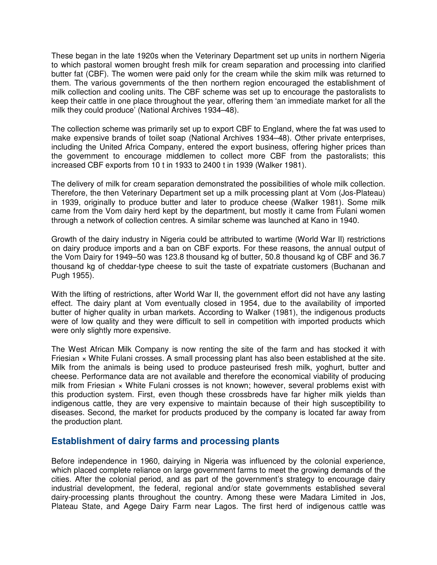These began in the late 1920s when the Veterinary Department set up units in northern Nigeria to which pastoral women brought fresh milk for cream separation and processing into clarified butter fat (CBF). The women were paid only for the cream while the skim milk was returned to them. The various governments of the then northern region encouraged the establishment of milk collection and cooling units. The CBF scheme was set up to encourage the pastoralists to keep their cattle in one place throughout the year, offering them 'an immediate market for all the milk they could produce' (National Archives 1934–48).

The collection scheme was primarily set up to export CBF to England, where the fat was used to make expensive brands of toilet soap (National Archives 1934–48). Other private enterprises, including the United Africa Company, entered the export business, offering higher prices than the government to encourage middlemen to collect more CBF from the pastoralists; this increased CBF exports from 10 t in 1933 to 2400 t in 1939 (Walker 1981).

The delivery of milk for cream separation demonstrated the possibilities of whole milk collection. Therefore, the then Veterinary Department set up a milk processing plant at Vom (Jos-Plateau) in 1939, originally to produce butter and later to produce cheese (Walker 1981). Some milk came from the Vom dairy herd kept by the department, but mostly it came from Fulani women through a network of collection centres. A similar scheme was launched at Kano in 1940.

Growth of the dairy industry in Nigeria could be attributed to wartime (World War II) restrictions on dairy produce imports and a ban on CBF exports. For these reasons, the annual output of the Vom Dairy for 1949–50 was 123.8 thousand kg of butter, 50.8 thousand kg of CBF and 36.7 thousand kg of cheddar-type cheese to suit the taste of expatriate customers (Buchanan and Pugh 1955).

With the lifting of restrictions, after World War II, the government effort did not have any lasting effect. The dairy plant at Vom eventually closed in 1954, due to the availability of imported butter of higher quality in urban markets. According to Walker (1981), the indigenous products were of low quality and they were difficult to sell in competition with imported products which were only slightly more expensive.

The West African Milk Company is now renting the site of the farm and has stocked it with Friesian × White Fulani crosses. A small processing plant has also been established at the site. Milk from the animals is being used to produce pasteurised fresh milk, yoghurt, butter and cheese. Performance data are not available and therefore the economical viability of producing milk from Friesian × White Fulani crosses is not known; however, several problems exist with this production system. First, even though these crossbreds have far higher milk yields than indigenous cattle, they are very expensive to maintain because of their high susceptibility to diseases. Second, the market for products produced by the company is located far away from the production plant.

### **Establishment of dairy farms and processing plants**

Before independence in 1960, dairying in Nigeria was influenced by the colonial experience, which placed complete reliance on large government farms to meet the growing demands of the cities. After the colonial period, and as part of the government's strategy to encourage dairy industrial development, the federal, regional and/or state governments established several dairy-processing plants throughout the country. Among these were Madara Limited in Jos, Plateau State, and Agege Dairy Farm near Lagos. The first herd of indigenous cattle was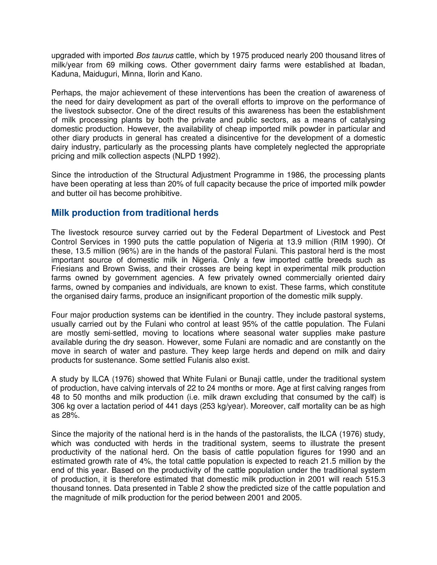upgraded with imported Bos taurus cattle, which by 1975 produced nearly 200 thousand litres of milk/year from 69 milking cows. Other government dairy farms were established at Ibadan, Kaduna, Maiduguri, Minna, Ilorin and Kano.

Perhaps, the major achievement of these interventions has been the creation of awareness of the need for dairy development as part of the overall efforts to improve on the performance of the livestock subsector. One of the direct results of this awareness has been the establishment of milk processing plants by both the private and public sectors, as a means of catalysing domestic production. However, the availability of cheap imported milk powder in particular and other diary products in general has created a disincentive for the development of a domestic dairy industry, particularly as the processing plants have completely neglected the appropriate pricing and milk collection aspects (NLPD 1992).

Since the introduction of the Structural Adjustment Programme in 1986, the processing plants have been operating at less than 20% of full capacity because the price of imported milk powder and butter oil has become prohibitive.

### **Milk production from traditional herds**

The livestock resource survey carried out by the Federal Department of Livestock and Pest Control Services in 1990 puts the cattle population of Nigeria at 13.9 million (RIM 1990). Of these, 13.5 million (96%) are in the hands of the pastoral Fulani. This pastoral herd is the most important source of domestic milk in Nigeria. Only a few imported cattle breeds such as Friesians and Brown Swiss, and their crosses are being kept in experimental milk production farms owned by government agencies. A few privately owned commercially oriented dairy farms, owned by companies and individuals, are known to exist. These farms, which constitute the organised dairy farms, produce an insignificant proportion of the domestic milk supply.

Four major production systems can be identified in the country. They include pastoral systems, usually carried out by the Fulani who control at least 95% of the cattle population. The Fulani are mostly semi-settled, moving to locations where seasonal water supplies make pasture available during the dry season. However, some Fulani are nomadic and are constantly on the move in search of water and pasture. They keep large herds and depend on milk and dairy products for sustenance. Some settled Fulanis also exist.

A study by ILCA (1976) showed that White Fulani or Bunaji cattle, under the traditional system of production, have calving intervals of 22 to 24 months or more. Age at first calving ranges from 48 to 50 months and milk production (i.e. milk drawn excluding that consumed by the calf) is 306 kg over a lactation period of 441 days (253 kg/year). Moreover, calf mortality can be as high as 28%.

Since the majority of the national herd is in the hands of the pastoralists, the ILCA (1976) study, which was conducted with herds in the traditional system, seems to illustrate the present productivity of the national herd. On the basis of cattle population figures for 1990 and an estimated growth rate of 4%, the total cattle population is expected to reach 21.5 million by the end of this year. Based on the productivity of the cattle population under the traditional system of production, it is therefore estimated that domestic milk production in 2001 will reach 515.3 thousand tonnes. Data presented in Table 2 show the predicted size of the cattle population and the magnitude of milk production for the period between 2001 and 2005.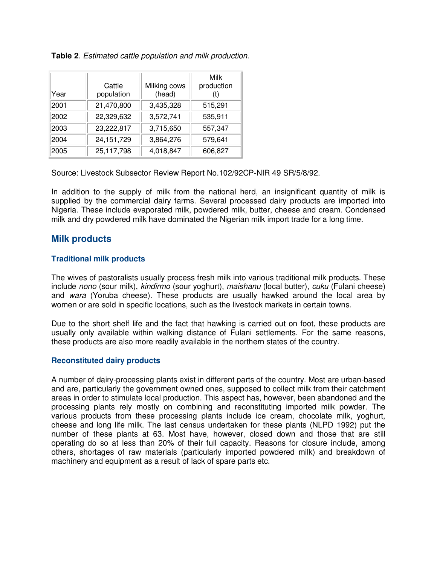| Year | Cattle<br>population | Milking cows<br>(head) | Milk<br>production<br>(t) |
|------|----------------------|------------------------|---------------------------|
| 2001 | 21,470,800           | 3,435,328              | 515,291                   |
| 2002 | 22,329,632           | 3,572,741              | 535,911                   |
| 2003 | 23,222,817           | 3,715,650              | 557,347                   |
| 2004 | 24, 151, 729         | 3,864,276              | 579,641                   |
| 2005 | 25,117,798           | 4,018,847              | 606,827                   |

**Table 2**. Estimated cattle population and milk production.

Source: Livestock Subsector Review Report No.102/92CP-NIR 49 SR/5/8/92.

In addition to the supply of milk from the national herd, an insignificant quantity of milk is supplied by the commercial dairy farms. Several processed dairy products are imported into Nigeria. These include evaporated milk, powdered milk, butter, cheese and cream. Condensed milk and dry powdered milk have dominated the Nigerian milk import trade for a long time.

## **Milk products**

#### **Traditional milk products**

The wives of pastoralists usually process fresh milk into various traditional milk products. These include nono (sour milk), kindirmo (sour yoghurt), maishanu (local butter), cuku (Fulani cheese) and wara (Yoruba cheese). These products are usually hawked around the local area by women or are sold in specific locations, such as the livestock markets in certain towns.

Due to the short shelf life and the fact that hawking is carried out on foot, these products are usually only available within walking distance of Fulani settlements. For the same reasons, these products are also more readily available in the northern states of the country.

#### **Reconstituted dairy products**

A number of dairy-processing plants exist in different parts of the country. Most are urban-based and are, particularly the government owned ones, supposed to collect milk from their catchment areas in order to stimulate local production. This aspect has, however, been abandoned and the processing plants rely mostly on combining and reconstituting imported milk powder. The various products from these processing plants include ice cream, chocolate milk, yoghurt, cheese and long life milk. The last census undertaken for these plants (NLPD 1992) put the number of these plants at 63. Most have, however, closed down and those that are still operating do so at less than 20% of their full capacity. Reasons for closure include, among others, shortages of raw materials (particularly imported powdered milk) and breakdown of machinery and equipment as a result of lack of spare parts etc.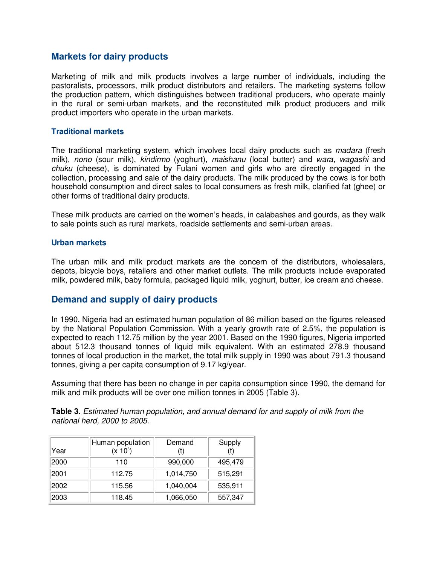## **Markets for dairy products**

Marketing of milk and milk products involves a large number of individuals, including the pastoralists, processors, milk product distributors and retailers. The marketing systems follow the production pattern, which distinguishes between traditional producers, who operate mainly in the rural or semi-urban markets, and the reconstituted milk product producers and milk product importers who operate in the urban markets.

#### **Traditional markets**

The traditional marketing system, which involves local dairy products such as *madara* (fresh milk), nono (sour milk), kindirmo (yoghurt), maishanu (local butter) and wara, wagashi and chuku (cheese), is dominated by Fulani women and girls who are directly engaged in the collection, processing and sale of the dairy products. The milk produced by the cows is for both household consumption and direct sales to local consumers as fresh milk, clarified fat (ghee) or other forms of traditional dairy products.

These milk products are carried on the women's heads, in calabashes and gourds, as they walk to sale points such as rural markets, roadside settlements and semi-urban areas.

#### **Urban markets**

The urban milk and milk product markets are the concern of the distributors, wholesalers, depots, bicycle boys, retailers and other market outlets. The milk products include evaporated milk, powdered milk, baby formula, packaged liquid milk, yoghurt, butter, ice cream and cheese.

## **Demand and supply of dairy products**

In 1990, Nigeria had an estimated human population of 86 million based on the figures released by the National Population Commission. With a yearly growth rate of 2.5%, the population is expected to reach 112.75 million by the year 2001. Based on the 1990 figures, Nigeria imported about 512.3 thousand tonnes of liquid milk equivalent. With an estimated 278.9 thousand tonnes of local production in the market, the total milk supply in 1990 was about 791.3 thousand tonnes, giving a per capita consumption of 9.17 kg/year.

Assuming that there has been no change in per capita consumption since 1990, the demand for milk and milk products will be over one million tonnes in 2005 (Table 3).

| Year | Human population<br>$(x 10^6)$ | Demand    | Supply  |
|------|--------------------------------|-----------|---------|
| 2000 | 110                            | 990,000   | 495,479 |
| 2001 | 112.75                         | 1,014,750 | 515,291 |
| 2002 | 115.56                         | 1,040,004 | 535,911 |
| 2003 | 118.45                         | 1,066,050 | 557,347 |

**Table 3.** Estimated human population, and annual demand for and supply of milk from the national herd, 2000 to 2005.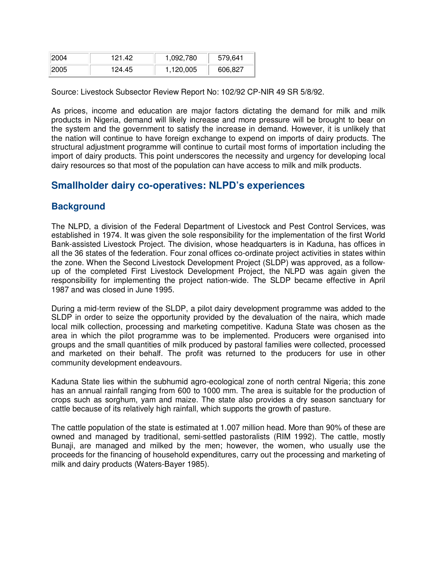| 12004 | 121 42 | 1,092,780 | 579,641 |
|-------|--------|-----------|---------|
| 12005 | 124.45 | 1,120,005 | 606,827 |

Source: Livestock Subsector Review Report No: 102/92 CP-NIR 49 SR 5/8/92.

As prices, income and education are major factors dictating the demand for milk and milk products in Nigeria, demand will likely increase and more pressure will be brought to bear on the system and the government to satisfy the increase in demand. However, it is unlikely that the nation will continue to have foreign exchange to expend on imports of dairy products. The structural adjustment programme will continue to curtail most forms of importation including the import of dairy products. This point underscores the necessity and urgency for developing local dairy resources so that most of the population can have access to milk and milk products.

## **Smallholder dairy co-operatives: NLPD's experiences**

## **Background**

The NLPD, a division of the Federal Department of Livestock and Pest Control Services, was established in 1974. It was given the sole responsibility for the implementation of the first World Bank-assisted Livestock Project. The division, whose headquarters is in Kaduna, has offices in all the 36 states of the federation. Four zonal offices co-ordinate project activities in states within the zone. When the Second Livestock Development Project (SLDP) was approved, as a followup of the completed First Livestock Development Project, the NLPD was again given the responsibility for implementing the project nation-wide. The SLDP became effective in April 1987 and was closed in June 1995.

During a mid-term review of the SLDP, a pilot dairy development programme was added to the SLDP in order to seize the opportunity provided by the devaluation of the naira, which made local milk collection, processing and marketing competitive. Kaduna State was chosen as the area in which the pilot programme was to be implemented. Producers were organised into groups and the small quantities of milk produced by pastoral families were collected, processed and marketed on their behalf. The profit was returned to the producers for use in other community development endeavours.

Kaduna State lies within the subhumid agro-ecological zone of north central Nigeria; this zone has an annual rainfall ranging from 600 to 1000 mm. The area is suitable for the production of crops such as sorghum, yam and maize. The state also provides a dry season sanctuary for cattle because of its relatively high rainfall, which supports the growth of pasture.

The cattle population of the state is estimated at 1.007 million head. More than 90% of these are owned and managed by traditional, semi-settled pastoralists (RIM 1992). The cattle, mostly Bunaji, are managed and milked by the men; however, the women, who usually use the proceeds for the financing of household expenditures, carry out the processing and marketing of milk and dairy products (Waters-Bayer 1985).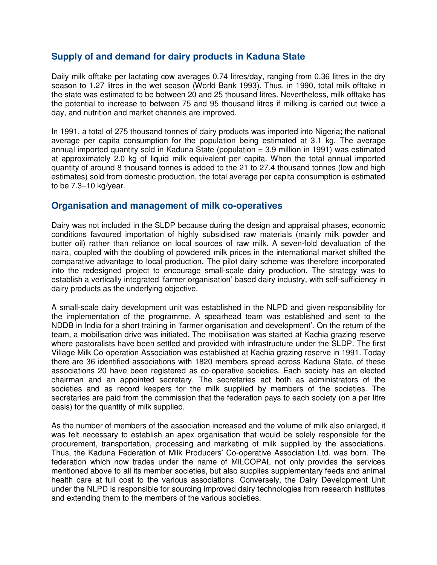## **Supply of and demand for dairy products in Kaduna State**

Daily milk offtake per lactating cow averages 0.74 litres/day, ranging from 0.36 litres in the dry season to 1.27 litres in the wet season (World Bank 1993). Thus, in 1990, total milk offtake in the state was estimated to be between 20 and 25 thousand litres. Nevertheless, milk offtake has the potential to increase to between 75 and 95 thousand litres if milking is carried out twice a day, and nutrition and market channels are improved.

In 1991, a total of 275 thousand tonnes of dairy products was imported into Nigeria; the national average per capita consumption for the population being estimated at 3.1 kg. The average annual imported quantity sold in Kaduna State (population  $= 3.9$  million in 1991) was estimated at approximately 2.0 kg of liquid milk equivalent per capita. When the total annual imported quantity of around 8 thousand tonnes is added to the 21 to 27.4 thousand tonnes (low and high estimates) sold from domestic production, the total average per capita consumption is estimated to be 7.3–10 kg/year.

## **Organisation and management of milk co-operatives**

Dairy was not included in the SLDP because during the design and appraisal phases, economic conditions favoured importation of highly subsidised raw materials (mainly milk powder and butter oil) rather than reliance on local sources of raw milk. A seven-fold devaluation of the naira, coupled with the doubling of powdered milk prices in the international market shifted the comparative advantage to local production. The pilot dairy scheme was therefore incorporated into the redesigned project to encourage small-scale dairy production. The strategy was to establish a vertically integrated 'farmer organisation' based dairy industry, with self-sufficiency in dairy products as the underlying objective.

A small-scale dairy development unit was established in the NLPD and given responsibility for the implementation of the programme. A spearhead team was established and sent to the NDDB in India for a short training in 'farmer organisation and development'. On the return of the team, a mobilisation drive was initiated. The mobilisation was started at Kachia grazing reserve where pastoralists have been settled and provided with infrastructure under the SLDP. The first Village Milk Co-operation Association was established at Kachia grazing reserve in 1991. Today there are 36 identified associations with 1820 members spread across Kaduna State, of these associations 20 have been registered as co-operative societies. Each society has an elected chairman and an appointed secretary. The secretaries act both as administrators of the societies and as record keepers for the milk supplied by members of the societies. The secretaries are paid from the commission that the federation pays to each society (on a per litre basis) for the quantity of milk supplied.

As the number of members of the association increased and the volume of milk also enlarged, it was felt necessary to establish an apex organisation that would be solely responsible for the procurement, transportation, processing and marketing of milk supplied by the associations. Thus, the Kaduna Federation of Milk Producers' Co-operative Association Ltd. was born. The federation which now trades under the name of MILCOPAL not only provides the services mentioned above to all its member societies, but also supplies supplementary feeds and animal health care at full cost to the various associations. Conversely, the Dairy Development Unit under the NLPD is responsible for sourcing improved dairy technologies from research institutes and extending them to the members of the various societies.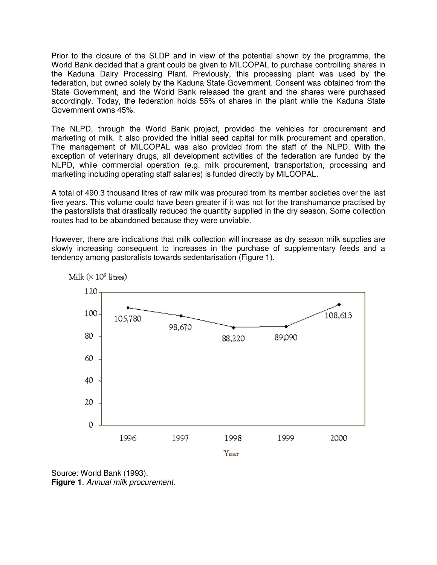Prior to the closure of the SLDP and in view of the potential shown by the programme, the World Bank decided that a grant could be given to MILCOPAL to purchase controlling shares in the Kaduna Dairy Processing Plant. Previously, this processing plant was used by the federation, but owned solely by the Kaduna State Government. Consent was obtained from the State Government, and the World Bank released the grant and the shares were purchased accordingly. Today, the federation holds 55% of shares in the plant while the Kaduna State Government owns 45%.

The NLPD, through the World Bank project, provided the vehicles for procurement and marketing of milk. It also provided the initial seed capital for milk procurement and operation. The management of MILCOPAL was also provided from the staff of the NLPD. With the exception of veterinary drugs, all development activities of the federation are funded by the NLPD, while commercial operation (e.g. milk procurement, transportation, processing and marketing including operating staff salaries) is funded directly by MILCOPAL.

A total of 490.3 thousand litres of raw milk was procured from its member societies over the last five years. This volume could have been greater if it was not for the transhumance practised by the pastoralists that drastically reduced the quantity supplied in the dry season. Some collection routes had to be abandoned because they were unviable.

However, there are indications that milk collection will increase as dry season milk supplies are slowly increasing consequent to increases in the purchase of supplementary feeds and a tendency among pastoralists towards sedentarisation (Figure 1).



Milk  $(\times 10^3$  litres)

Source: World Bank (1993). **Figure 1**. Annual milk procurement.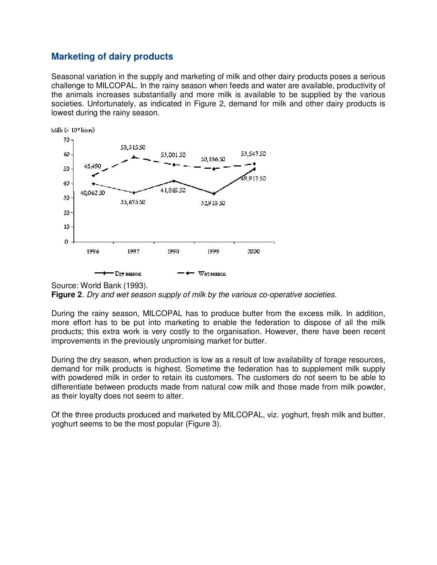## **Marketing of dairy products**

Seasonal variation in the supply and marketing of milk and other dairy products poses a serious challenge to MILCOPAL. In the rainy season when feeds and water are available, productivity of the animals increases substantially and more milk is available to be supplied by the various societies. Unfortunately, as indicated in Figure 2, demand for milk and other dairy products is lowest during the rainy season.



Source: World Bank (1993).

**Figure 2**. Dry and wet season supply of milk by the various co-operative societies.

During the rainy season, MILCOPAL has to produce butter from the excess milk. In addition, more effort has to be put into marketing to enable the federation to dispose of all the milk products; this extra work is very costly to the organisation. However, there have been recent improvements in the previously unpromising market for butter.

During the dry season, when production is low as a result of low availability of forage resources, demand for milk products is highest. Sometime the federation has to supplement milk supply with powdered milk in order to retain its customers. The customers do not seem to be able to differentiate between products made from natural cow milk and those made from milk powder, as their loyalty does not seem to alter.

Of the three products produced and marketed by MILCOPAL, viz. yoghurt, fresh milk and butter, yoghurt seems to be the most popular (Figure 3).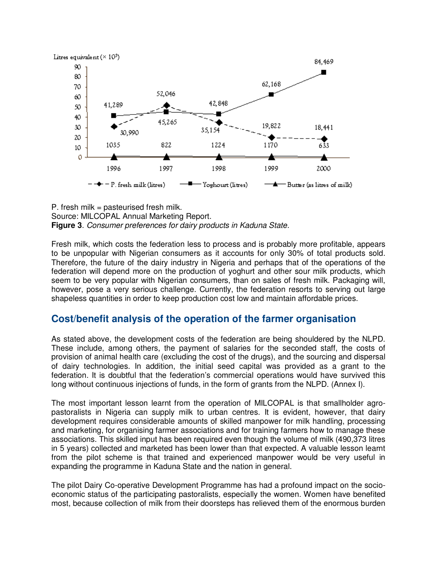

P. fresh milk = pasteurised fresh milk. Source: MILCOPAL Annual Marketing Report. **Figure 3**. Consumer preferences for dairy products in Kaduna State.

Fresh milk, which costs the federation less to process and is probably more profitable, appears to be unpopular with Nigerian consumers as it accounts for only 30% of total products sold. Therefore, the future of the dairy industry in Nigeria and perhaps that of the operations of the federation will depend more on the production of yoghurt and other sour milk products, which seem to be very popular with Nigerian consumers, than on sales of fresh milk. Packaging will, however, pose a very serious challenge. Currently, the federation resorts to serving out large shapeless quantities in order to keep production cost low and maintain affordable prices.

# **Cost/benefit analysis of the operation of the farmer organisation**

As stated above, the development costs of the federation are being shouldered by the NLPD. These include, among others, the payment of salaries for the seconded staff, the costs of provision of animal health care (excluding the cost of the drugs), and the sourcing and dispersal of dairy technologies. In addition, the initial seed capital was provided as a grant to the federation. It is doubtful that the federation's commercial operations would have survived this long without continuous injections of funds, in the form of grants from the NLPD. (Annex I).

The most important lesson learnt from the operation of MILCOPAL is that smallholder agropastoralists in Nigeria can supply milk to urban centres. It is evident, however, that dairy development requires considerable amounts of skilled manpower for milk handling, processing and marketing, for organising farmer associations and for training farmers how to manage these associations. This skilled input has been required even though the volume of milk (490,373 litres in 5 years) collected and marketed has been lower than that expected. A valuable lesson learnt from the pilot scheme is that trained and experienced manpower would be very useful in expanding the programme in Kaduna State and the nation in general.

The pilot Dairy Co-operative Development Programme has had a profound impact on the socioeconomic status of the participating pastoralists, especially the women. Women have benefited most, because collection of milk from their doorsteps has relieved them of the enormous burden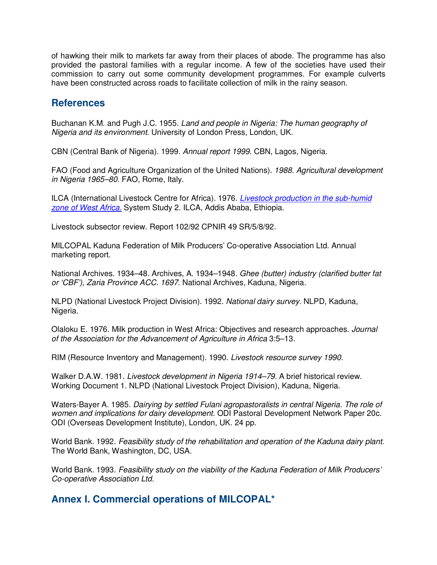of hawking their milk to markets far away from their places of abode. The programme has also provided the pastoral families with a regular income. A few of the societies have used their commission to carry out some community development programmes. For example culverts have been constructed across roads to facilitate collection of milk in the rainy season.

# **References**

Buchanan K.M. and Pugh J.C. 1955. Land and people in Nigeria: The human geography of Nigeria and its environment. University of London Press, London, UK.

CBN (Central Bank of Nigeria). 1999. Annual report 1999. CBN, Lagos, Nigeria.

FAO (Food and Agriculture Organization of the United Nations). 1988. Agricultural development in Nigeria 1965–80. FAO, Rome, Italy.

ILCA (International Livestock Centre for Africa). 1976. *Livestock production in the sub-humid* zone of West Africa. System Study 2. ILCA, Addis Ababa, Ethiopia.

Livestock subsector review. Report 102/92 CPNIR 49 SR/5/8/92.

MILCOPAL Kaduna Federation of Milk Producers' Co-operative Association Ltd. Annual marketing report.

National Archives. 1934–48. Archives, A. 1934–1948. Ghee (butter) industry (clarified butter fat or 'CBF'), Zaria Province ACC. 1697. National Archives, Kaduna, Nigeria.

NLPD (National Livestock Project Division). 1992. National dairy survey. NLPD, Kaduna, Nigeria.

Olaloku E. 1976. Milk production in West Africa: Objectives and research approaches. Journal of the Association for the Advancement of Agriculture in Africa 3:5–13.

RIM (Resource Inventory and Management). 1990. Livestock resource survey 1990.

Walker D.A.W. 1981. Livestock development in Nigeria 1914–79. A brief historical review. Working Document 1. NLPD (National Livestock Project Division), Kaduna, Nigeria.

Waters-Bayer A. 1985. Dairying by settled Fulani agropastoralists in central Nigeria. The role of women and implications for dairy development. ODI Pastoral Development Network Paper 20c. ODI (Overseas Development Institute), London, UK. 24 pp.

World Bank. 1992. Feasibility study of the rehabilitation and operation of the Kaduna dairy plant. The World Bank, Washington, DC, USA.

World Bank. 1993. Feasibility study on the viability of the Kaduna Federation of Milk Producers' Co-operative Association Ltd.

# **Annex I. Commercial operations of MILCOPAL\***